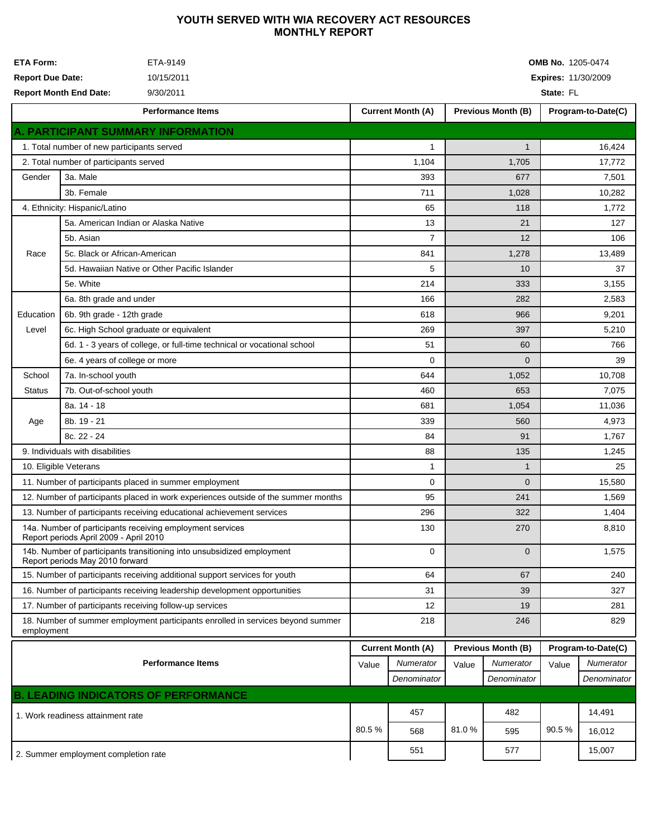## YOUTH SERVED WITH WIA RECOVERY ACT RESOURCES **MONTHLY REPORT**

| <b>ETA Form:</b><br>ETA-9149<br><b>Report Due Date:</b><br>10/15/2011<br><b>Report Month End Date:</b><br>9/30/2011 |                                               |                                                                           | <b>OMB No.</b> 1205-0474<br><b>Expires: 11/30/2009</b><br>State: FL |                          |                           |                           |                    |                    |  |  |
|---------------------------------------------------------------------------------------------------------------------|-----------------------------------------------|---------------------------------------------------------------------------|---------------------------------------------------------------------|--------------------------|---------------------------|---------------------------|--------------------|--------------------|--|--|
|                                                                                                                     |                                               | <b>Performance Items</b>                                                  |                                                                     | <b>Current Month (A)</b> |                           | <b>Previous Month (B)</b> |                    | Program-to-Date(C) |  |  |
|                                                                                                                     |                                               | A. PARTICIPANT SUMMARY INFORMATION                                        |                                                                     |                          |                           |                           |                    |                    |  |  |
| 1. Total number of new participants served                                                                          |                                               |                                                                           |                                                                     | 1                        |                           | $\mathbf{1}$              |                    | 16,424             |  |  |
| 2. Total number of participants served                                                                              |                                               |                                                                           |                                                                     | 1,104                    |                           | 1,705                     | 17,772             |                    |  |  |
| 3a. Male<br>Gender<br>3b. Female                                                                                    |                                               |                                                                           | 393                                                                 |                          | 677                       |                           | 7,501              |                    |  |  |
|                                                                                                                     |                                               |                                                                           | 711                                                                 |                          | 1,028                     |                           | 10,282             |                    |  |  |
| 4. Ethnicity: Hispanic/Latino                                                                                       |                                               |                                                                           |                                                                     | 65                       |                           | 118                       |                    | 1,772              |  |  |
|                                                                                                                     | 5a. American Indian or Alaska Native          |                                                                           |                                                                     | 13                       |                           | 21                        |                    | 127                |  |  |
|                                                                                                                     | 5b. Asian                                     |                                                                           | $\overline{7}$                                                      |                          | 12                        |                           | 106                |                    |  |  |
| Race                                                                                                                | 5c. Black or African-American                 |                                                                           | 841                                                                 |                          | 1,278                     |                           | 13,489             |                    |  |  |
|                                                                                                                     | 5d. Hawaiian Native or Other Pacific Islander |                                                                           | 5                                                                   |                          | 10                        |                           | 37                 |                    |  |  |
|                                                                                                                     | 5e. White                                     |                                                                           | 214                                                                 |                          | 333                       |                           | 3,155              |                    |  |  |
|                                                                                                                     | 6a. 8th grade and under                       |                                                                           | 166                                                                 |                          | 282                       |                           | 2,583              |                    |  |  |
| Education                                                                                                           |                                               | 6b. 9th grade - 12th grade                                                |                                                                     | 618                      |                           | 966                       |                    | 9,201              |  |  |
| Level                                                                                                               |                                               | 6c. High School graduate or equivalent                                    |                                                                     | 269                      |                           | 397                       |                    | 5,210              |  |  |
|                                                                                                                     |                                               | 6d. 1 - 3 years of college, or full-time technical or vocational school   |                                                                     | 51                       |                           | 60                        |                    | 766                |  |  |
|                                                                                                                     | 6e. 4 years of college or more                |                                                                           | 0                                                                   |                          | $\Omega$                  |                           | 39                 |                    |  |  |
| School                                                                                                              | 7a. In-school youth                           |                                                                           | 644                                                                 |                          | 1,052                     |                           | 10,708             |                    |  |  |
| <b>Status</b>                                                                                                       |                                               | 7b. Out-of-school youth                                                   |                                                                     | 460                      |                           | 653                       |                    | 7,075              |  |  |
|                                                                                                                     | 8a. 14 - 18                                   |                                                                           |                                                                     | 681                      |                           | 1,054                     |                    | 11,036             |  |  |
| Age                                                                                                                 | 8b. 19 - 21                                   |                                                                           |                                                                     | 339                      |                           | 560                       |                    | 4,973              |  |  |
|                                                                                                                     | 8c. 22 - 24                                   |                                                                           | 84                                                                  |                          | 91                        |                           | 1,767              |                    |  |  |
| 9. Individuals with disabilities                                                                                    |                                               | 88                                                                        |                                                                     | 135                      |                           | 1,245                     |                    |                    |  |  |
|                                                                                                                     | 10. Eligible Veterans                         |                                                                           | 1                                                                   |                          | $\mathbf{1}$              |                           | 25                 |                    |  |  |
|                                                                                                                     |                                               | 11. Number of participants placed in summer employment                    | 0                                                                   |                          | $\overline{0}$            |                           | 15,580             |                    |  |  |
| 12. Number of participants placed in work experiences outside of the summer months                                  |                                               |                                                                           | 95                                                                  |                          | 241                       |                           | 1,569              |                    |  |  |
|                                                                                                                     |                                               | 13. Number of participants receiving educational achievement services     | 296                                                                 |                          | 322                       |                           | 1,404              |                    |  |  |
| 14a. Number of participants receiving employment services<br>Report periods April 2009 - April 2010                 |                                               |                                                                           | 130                                                                 |                          | 270                       |                           | 8,810              |                    |  |  |
| 14b. Number of participants transitioning into unsubsidized employment<br>Report periods May 2010 forward           |                                               |                                                                           | 0                                                                   |                          | $\overline{0}$            |                           | 1,575              |                    |  |  |
| 15. Number of participants receiving additional support services for youth                                          |                                               |                                                                           | 64                                                                  |                          | 67                        |                           | 240                |                    |  |  |
|                                                                                                                     |                                               | 16. Number of participants receiving leadership development opportunities | 31                                                                  |                          | 39                        |                           | 327                |                    |  |  |
| 17. Number of participants receiving follow-up services                                                             |                                               |                                                                           | 12                                                                  |                          | 19                        |                           | 281                |                    |  |  |
| 18. Number of summer employment participants enrolled in services beyond summer<br>employment                       |                                               |                                                                           | 218                                                                 |                          | 246                       |                           | 829                |                    |  |  |
|                                                                                                                     |                                               |                                                                           | <b>Current Month (A)</b>                                            |                          | <b>Previous Month (B)</b> |                           | Program-to-Date(C) |                    |  |  |
| <b>Performance Items</b>                                                                                            |                                               |                                                                           |                                                                     | Numerator                | Value                     | Numerator                 | Value              | Numerator          |  |  |
|                                                                                                                     |                                               |                                                                           |                                                                     | Denominator              |                           | Denominator               |                    | Denominator        |  |  |
|                                                                                                                     |                                               | <b>B. LEADING INDICATORS OF PERFORMANCE</b>                               |                                                                     |                          |                           |                           |                    |                    |  |  |
| 1. Work readiness attainment rate                                                                                   |                                               |                                                                           |                                                                     | 457                      |                           | 482                       |                    | 14,491             |  |  |
|                                                                                                                     |                                               |                                                                           | 80.5%                                                               | 568                      | 81.0%                     | 595                       | 90.5%              | 16,012             |  |  |
| 2. Summer employment completion rate                                                                                |                                               |                                                                           |                                                                     | 551                      |                           | 577                       |                    | 15,007             |  |  |